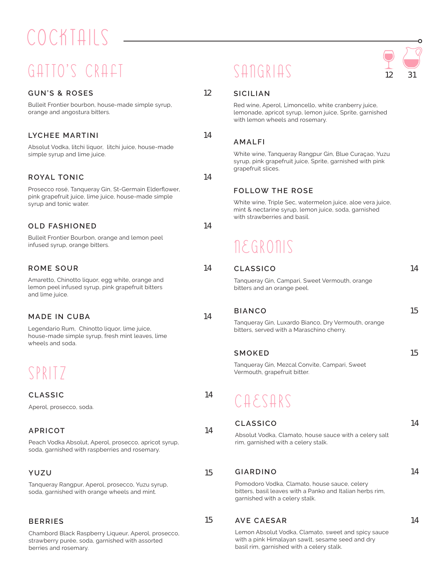# COCKTAILS

### GATTO'S CRAFT

#### **GUN'S & ROSES** 12

Bulleit Frontier bourbon, house-made simple syrup, orange and angostura bitters.

#### **LYCHEE MARTINI** 14

Absolut Vodka, litchi liquor, litchi juice, house-made simple syrup and lime juice.

#### **ROYAL TONIC** 14

Prosecco rosé, Tanqueray Gin, St-Germain Elderflower, pink grapefruit juice, lime juice, house-made simple syrup and tonic water.

### **OLD FASHIONED** 14

Bulleit Frontier Bourbon, orange and lemon peel infused syrup, orange bitters.

#### **ROME SOUR**

#### **MADE IN CUBA**

#### **APRICOT**

Peach Vodka Absolut, Aperol, prosecco, apricot syrup, soda, garnished with raspberries and rosemary.

#### **YUZU** 15

Tanqueray Rangpur, Aperol, prosecco, Yuzu syrup, soda, garnished with orange wheels and mint.

### **BERRIES** 15

Chambord Black Raspberry Liqueur, Aperol, prosecco, strawberry purée, soda, garnished with assorted berries and rosemary.

### $SATGRIAS$  12 31



#### **SICILIAN**

Red wine, Aperol, Limoncello, white cranberry juice, lemonade, apricot syrup, lemon juice, Sprite, garnished with lemon wheels and rosemary.

#### **AMALFI**

White wine, Tanqueray Rangpur Gin, Blue Curaçao, Yuzu syrup, pink grapefruit juice, Sprite, garnished with pink grapefruit slices.

#### **FOLLOW THE ROSE**

White wine, Triple Sec, watermelon juice, aloe vera juice, mint & nectarine syrup, lemon juice, soda, garnished with strawberries and basil.

### **NEGRONIS**

| ROME SOUR                                                                                                                | 14 | <b>CLASSICO</b>                                                               | 14 |
|--------------------------------------------------------------------------------------------------------------------------|----|-------------------------------------------------------------------------------|----|
| Amaretto, Chinotto liquor, egg white, orange and<br>lemon peel infused syrup, pink grapefruit bitters<br>and lime juice. |    | Tangueray Gin, Campari, Sweet Vermouth, orange<br>bitters and an orange peel. |    |
| MADE IN CUBA                                                                                                             | 14 | <b>BIANCO</b>                                                                 | 15 |
|                                                                                                                          |    | Tanqueray Gin, Luxardo Bianco, Dry Vermouth, orange                           |    |
| Legendario Rum, Chinotto liquor, lime juice,<br>house-made simple syrup, fresh mint leaves, lime<br>wheels and soda.     |    | bitters, served with a Maraschino cherry.                                     |    |
|                                                                                                                          |    | <b>SMOKED</b>                                                                 | 15 |
| SPRITZ                                                                                                                   |    | Tangueray Gin, Mezcal Convite, Campari, Sweet<br>Vermouth, grapefruit bitter. |    |
| <b>CLASSIC</b>                                                                                                           | 14 |                                                                               |    |
| Aperol, prosecco, soda.                                                                                                  |    | CAESARS                                                                       |    |
|                                                                                                                          |    | <b>CLASSICO</b>                                                               | 14 |
| 14<br>APRICOT                                                                                                            |    | Absolut Vodka, Clamato, house sauce with a celery salt                        |    |
| Peach Vodka Absolut, Aperol, prosecco, apricot syrup,<br>soda, garnished with raspherries and rosemary                   |    | rim, garnished with a celery stalk.                                           |    |

#### **GIARDINO** 14

Pomodoro Vodka, Clamato, house sauce, celery bitters, basil leaves with a Panko and Italian herbs rim, garnished with a celery stalk.

#### **AVE CAESAR** 14

Lemon Absolut Vodka, Clamato, sweet and spicy sauce with a pink Himalayan sawlt, sesame seed and dry basil rim, garnished with a celery stalk.